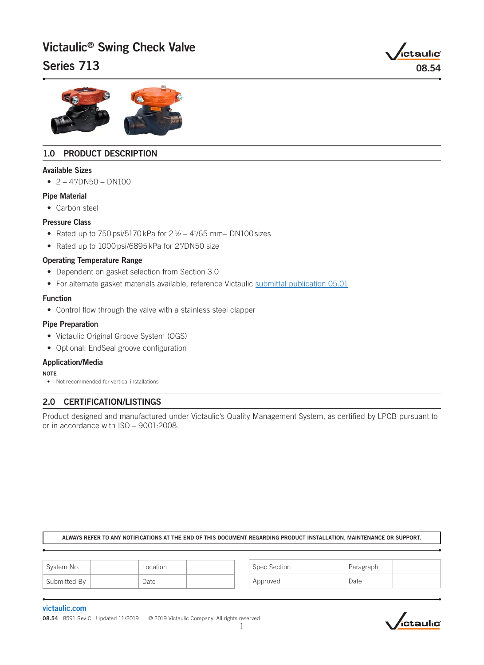# Victaulic® Swing Check Valve

# Series  $713$  08.54





# 1.0 PRODUCT DESCRIPTION

#### Available Sizes

 $\bullet$  2 – 4"/DN50 – DN100

#### Pipe Material

• Carbon steel

#### Pressure Class

- Rated up to 750 psi/5170 kPa for  $2\frac{1}{2}$  4"/65 mm– DN100 sizes
- Rated up to 1000 psi/6895 kPa for 2"/DN50 size

### Operating Temperature Range

- Dependent on gasket selection from Section 3.0
- For alternate gasket materials available, reference Victaulic [submittal publication 05.01](http://static.victaulic.com/assets/uploads/literature/05.01.pdf)

#### Function

• Control flow through the valve with a stainless steel clapper

#### Pipe Preparation

- Victaulic Original Groove System (OGS)
- Optional: EndSeal groove configuration

### Application/Media

#### **NOTE**

• Not recommended for vertical installations

# 2.0 CERTIFICATION/LISTINGS

Product designed and manufactured under Victaulic's Quality Management System, as certified by LPCB pursuant to or in accordance with ISO – 9001:2008.

#### ALWAYS REFER TO ANY NOTIFICATIONS AT THE END OF THIS DOCUMENT REGARDING PRODUCT INSTALLATION, MAINTENANCE OR SUPPORT.

| System No.   | Location |  | Spec Section | Paragraph |  |
|--------------|----------|--|--------------|-----------|--|
| Submitted By | Date     |  | Approved     | Date      |  |

#### [victaulic.com](http://www.victaulic.com)

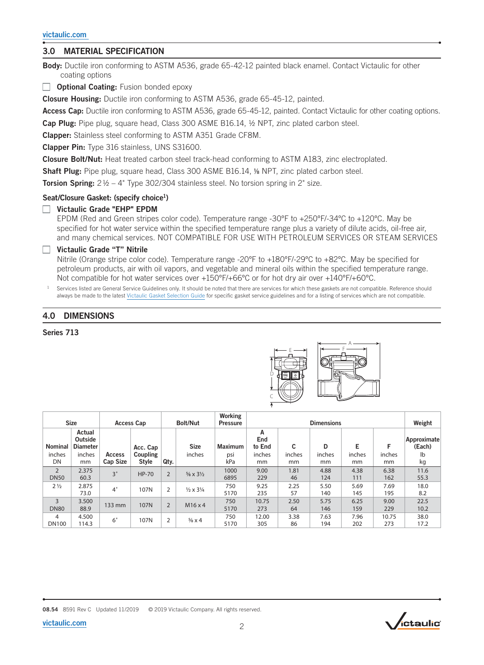## 3.0 MATERIAL SPECIFICATION

Body: Ductile iron conforming to ASTM A536, grade 65-42-12 painted black enamel. Contact Victaulic for other coating options

 $\Box$  Optional Coating: Fusion bonded epoxy

Closure Housing: Ductile iron conforming to ASTM A536, grade 65-45-12, painted.

Access Cap: Ductile iron conforming to ASTM A536, grade 65-45-12, painted. Contact Victaulic for other coating options.

Cap Plug: Pipe plug, square head, Class 300 ASME B16.14, ½ NPT, zinc plated carbon steel.

Clapper: Stainless steel conforming to ASTM A351 Grade CF8M.

Clapper Pin: Type 316 stainless, UNS S31600.

Closure Bolt/Nut: Heat treated carbon steel track-head conforming to ASTM A183, zinc electroplated.

Shaft Plug: Pipe plug, square head, Class 300 ASME B16.14, 1/8 NPT, zinc plated carbon steel.

**Torsion Spring:**  $2\frac{1}{2} - 4$  Type 302/304 stainless steel. No torsion spring in  $2$  size.

#### Seat/Closure Gasket: (specify choice<sup>1</sup>)

### Victaulic Grade "EHP" EPDM

EPDM (Red and Green stripes color code). Temperature range -30ºF to +250ºF/-34ºC to +120ºC. May be specified for hot water service within the specified temperature range plus a variety of dilute acids, oil-free air, and many chemical services. NOT COMPATIBLE FOR USE WITH PETROLEUM SERVICES OR STEAM SERVICES

#### $\Box$  Victaulic Grade "T" Nitrile

Nitrile (Orange stripe color code). Temperature range -20ºF to +180ºF/-29ºC to +82ºC. May be specified for petroleum products, air with oil vapors, and vegetable and mineral oils within the specified temperature range. Not compatible for hot water services over +150ºF/+66ºC or for hot dry air over +140ºF/+60ºC.

Services listed are General Service Guidelines only. It should be noted that there are services for which these gaskets are not compatible. Reference should always be made to the latest [Victaulic Gasket Selection Guide](http://static.victaulic.com/assets/uploads/literature/05.01.pdf) for specific gasket service guidelines and for a listing of services which are not compatible.

D

C

### 4.0 DIMENSIONS

Series 713



|                               | <b>Size</b>                          |                           | <b>Access Cap</b>               |                | <b>Bolt/Nut</b>                   | Working<br><b>Pressure</b> |                    |              | <b>Dimensions</b> |              |              | Weight                |
|-------------------------------|--------------------------------------|---------------------------|---------------------------------|----------------|-----------------------------------|----------------------------|--------------------|--------------|-------------------|--------------|--------------|-----------------------|
| <b>Nominal</b>                | Actual<br>Outside<br><b>Diameter</b> |                           | Acc. Cap                        |                | <b>Size</b>                       | <b>Maximum</b>             | Α<br>End<br>to End | c            | D                 | Е            | F            | Approximate<br>(Each) |
| inches<br>DN                  | inches<br>mm                         | <b>Access</b><br>Cap Size | <b>Coupling</b><br><b>Style</b> | Qty.           | inches                            | psi<br>kPa                 | inches<br>mm       | inches<br>mm | inches<br>mm      | inches<br>mm | inches<br>mm | lb<br>kg              |
| $\overline{2}$<br><b>DN50</b> | 2.375<br>60.3                        | 3"                        | HP-70                           | $\overline{2}$ | $\frac{5}{8} \times 3\frac{1}{2}$ | 1000<br>6895               | 9.00<br>229        | 1.81<br>46   | 4.88<br>124       | 4.38<br>111  | 6.38<br>162  | 11.6<br>55.3          |
| $2\frac{1}{2}$                | 2.875<br>73.0                        | 4"                        | 107N                            | $\overline{2}$ | $\frac{1}{2} \times 3\frac{1}{4}$ | 750<br>5170                | 9.25<br>235        | 2.25<br>57   | 5.50<br>140       | 5.69<br>145  | 7.69<br>195  | 18.0<br>8.2           |
| 3<br><b>DN80</b>              | 3.500<br>88.9                        | 133 mm                    | 107N                            | $\overline{2}$ | M16x4                             | 750<br>5170                | 10.75<br>273       | 2.50<br>64   | 5.75<br>146       | 6.25<br>159  | 9.00<br>229  | 22.5<br>10.2          |
| 4<br><b>DN100</b>             | 4.500<br>114.3                       | 6"                        | 107N                            | $\overline{2}$ | $\frac{5}{8} \times 4$            | 750<br>5170                | 12.00<br>305       | 3.38<br>86   | 7.63<br>194       | 7.96<br>202  | 10.75<br>273 | 38.0<br>17.2          |

08.54 8591 Rev C Updated 11/2019 © 2019 Victaulic Company. All rights reserved.

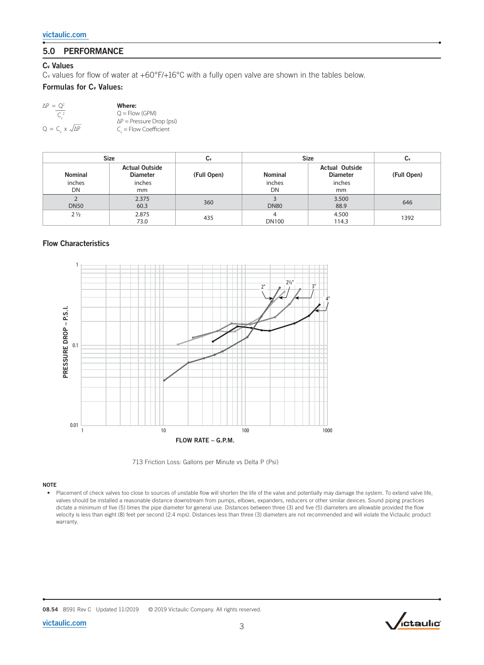# 5.0 PERFORMANCE

#### Cv Values

Cv values for flow of water at +60°F/+16°C with a fully open valve are shown in the tables below.

#### Formulas for C<sub>v</sub> Values:

| $\Delta P = Q^2$                 | Where:                           |
|----------------------------------|----------------------------------|
| C <sup>2</sup>                   | $O = Flow (GPM)$                 |
|                                  | $\Delta P$ = Pressure Drop (psi) |
| $Q = C_v \times \sqrt{\Delta P}$ | $C_{n}$ = Flow Coefficient       |

| <b>Size</b>                    |                                                          | U٧          | <b>Size</b>                    | Сv                                                       |             |
|--------------------------------|----------------------------------------------------------|-------------|--------------------------------|----------------------------------------------------------|-------------|
| <b>Nominal</b><br>inches<br>DN | <b>Actual Outside</b><br><b>Diameter</b><br>inches<br>mm | (Full Open) | <b>Nominal</b><br>inches<br>DN | <b>Actual Outside</b><br><b>Diameter</b><br>inches<br>mm | (Full Open) |
| <b>DN50</b>                    | 2.375<br>60.3                                            | 360         | <b>DN80</b>                    | 3.500<br>88.9                                            | 646         |
| $2\frac{1}{2}$                 | 2.875<br>73.0                                            | 435         | <b>DN100</b>                   | 4.500<br>114.3                                           | 1392        |

### Flow Characteristics



713 Friction Loss: Gallons per Minute vs Delta P (Psi)

#### NOTE

• Placement of check valves too close to sources of unstable flow will shorten the life of the valve and potentially may damage the system. To extend valve life, valves should be installed a reasonable distance downstream from pumps, elbows, expanders, reducers or other similar devices. Sound piping practices dictate a minimum of five (5) times the pipe diameter for general use. Distances between three (3) and five (5) diameters are allowable provided the flow velocity is less than eight (8) feet per second (2.4 mps). Distances less than three (3) diameters are not recommended and will violate the Victaulic product warranty.



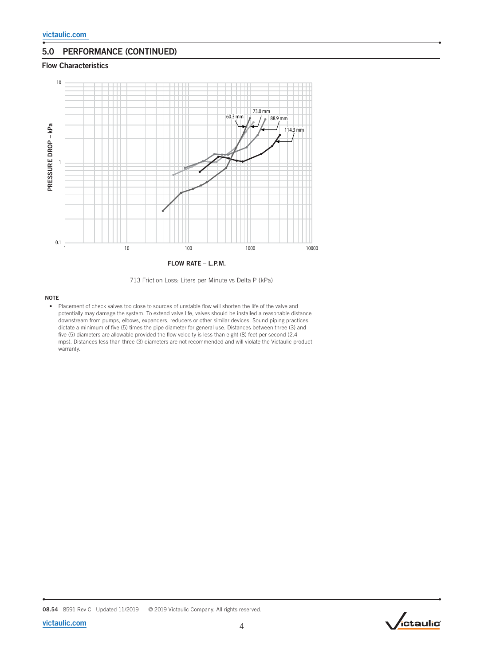## 5.0 PERFORMANCE (CONTINUED)

#### Flow Characteristics



713 Friction Loss: Liters per Minute vs Delta P (kPa)

#### NOTE

• Placement of check valves too close to sources of unstable flow will shorten the life of the valve and potentially may damage the system. To extend valve life, valves should be installed a reasonable distance downstream from pumps, elbows, expanders, reducers or other similar devices. Sound piping practices dictate a minimum of five (5) times the pipe diameter for general use. Distances between three (3) and five (5) diameters are allowable provided the flow velocity is less than eight (8) feet per second (2.4 mps). Distances less than three (3) diameters are not recommended and will violate the Victaulic product warranty.